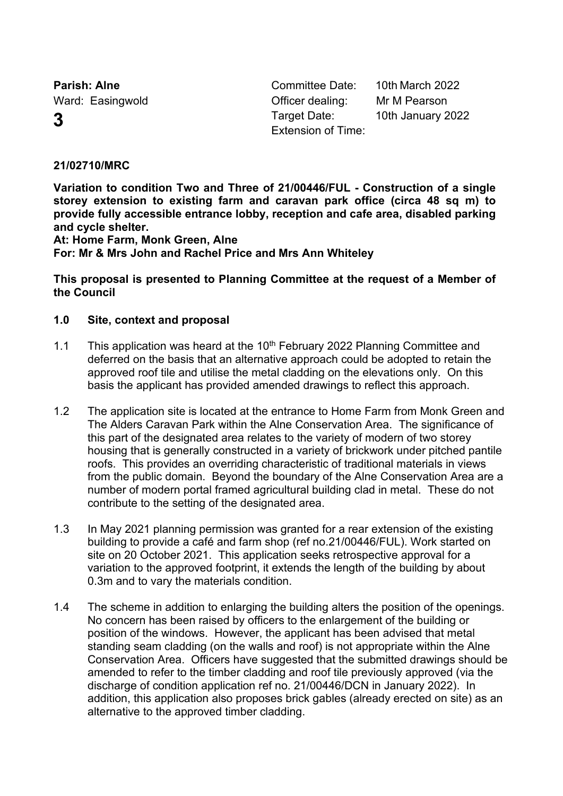**Parish: Alne Committee Date:** 10th March 2022

Ward: Easingwold **Communist Communist Communist Communist Communist Communist Communist Communist Communist Communist Communist Communist Communist Communist Communist Communist Communist Communist Communist Communist Comm 3** Target Date: 10th January 2022 Extension of Time:

# **21/02710/MRC**

**Variation to condition Two and Three of 21/00446/FUL - Construction of a single storey extension to existing farm and caravan park office (circa 48 sq m) to provide fully accessible entrance lobby, reception and cafe area, disabled parking and cycle shelter.**

**At: Home Farm, Monk Green, Alne For: Mr & Mrs John and Rachel Price and Mrs Ann Whiteley**

**This proposal is presented to Planning Committee at the request of a Member of the Council**

#### **1.0 Site, context and proposal**

- 1.1 This application was heard at the  $10<sup>th</sup>$  February 2022 Planning Committee and deferred on the basis that an alternative approach could be adopted to retain the approved roof tile and utilise the metal cladding on the elevations only. On this basis the applicant has provided amended drawings to reflect this approach.
- 1.2 The application site is located at the entrance to Home Farm from Monk Green and The Alders Caravan Park within the Alne Conservation Area. The significance of this part of the designated area relates to the variety of modern of two storey housing that is generally constructed in a variety of brickwork under pitched pantile roofs. This provides an overriding characteristic of traditional materials in views from the public domain. Beyond the boundary of the Alne Conservation Area are a number of modern portal framed agricultural building clad in metal. These do not contribute to the setting of the designated area.
- 1.3 In May 2021 planning permission was granted for a rear extension of the existing building to provide a café and farm shop (ref no.21/00446/FUL). Work started on site on 20 October 2021. This application seeks retrospective approval for a variation to the approved footprint, it extends the length of the building by about 0.3m and to vary the materials condition.
- 1.4 The scheme in addition to enlarging the building alters the position of the openings. No concern has been raised by officers to the enlargement of the building or position of the windows. However, the applicant has been advised that metal standing seam cladding (on the walls and roof) is not appropriate within the Alne Conservation Area. Officers have suggested that the submitted drawings should be amended to refer to the timber cladding and roof tile previously approved (via the discharge of condition application ref no. 21/00446/DCN in January 2022). In addition, this application also proposes brick gables (already erected on site) as an alternative to the approved timber cladding.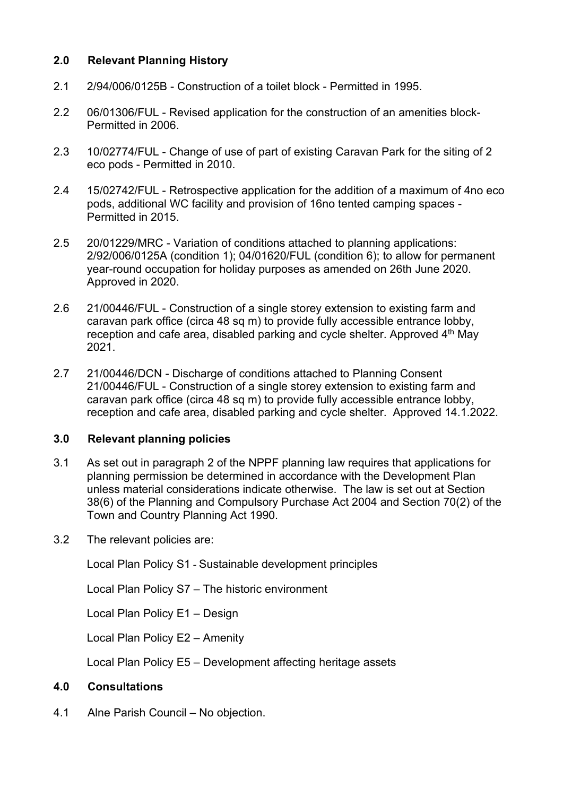# **2.0 Relevant Planning History**

- 2.1 2/94/006/0125B Construction of a toilet block Permitted in 1995.
- 2.2 06/01306/FUL Revised application for the construction of an amenities block-Permitted in 2006.
- 2.3 10/02774/FUL Change of use of part of existing Caravan Park for the siting of 2 eco pods - Permitted in 2010.
- 2.4 15/02742/FUL Retrospective application for the addition of a maximum of 4no eco pods, additional WC facility and provision of 16no tented camping spaces - Permitted in 2015.
- 2.5 20/01229/MRC Variation of conditions attached to planning applications: 2/92/006/0125A (condition 1); 04/01620/FUL (condition 6); to allow for permanent year-round occupation for holiday purposes as amended on 26th June 2020. Approved in 2020.
- 2.6 21/00446/FUL Construction of a single storey extension to existing farm and caravan park office (circa 48 sq m) to provide fully accessible entrance lobby, reception and cafe area, disabled parking and cycle shelter. Approved 4<sup>th</sup> May 2021.
- 2.7 21/00446/DCN Discharge of conditions attached to Planning Consent 21/00446/FUL - Construction of a single storey extension to existing farm and caravan park office (circa 48 sq m) to provide fully accessible entrance lobby, reception and cafe area, disabled parking and cycle shelter. Approved 14.1.2022.

# **3.0 Relevant planning policies**

- 3.1 As set out in paragraph 2 of the NPPF planning law requires that applications for planning permission be determined in accordance with the Development Plan unless material considerations indicate otherwise. The law is set out at Section 38(6) of the Planning and Compulsory Purchase Act 2004 and Section 70(2) of the Town and Country Planning Act 1990.
- 3.2 The relevant policies are:

Local Plan Policy S1 - Sustainable development principles

Local Plan Policy S7 – The historic environment

Local Plan Policy E1 – Design

Local Plan Policy E2 – Amenity

Local Plan Policy E5 – Development affecting heritage assets

# **4.0 Consultations**

4.1 Alne Parish Council – No objection.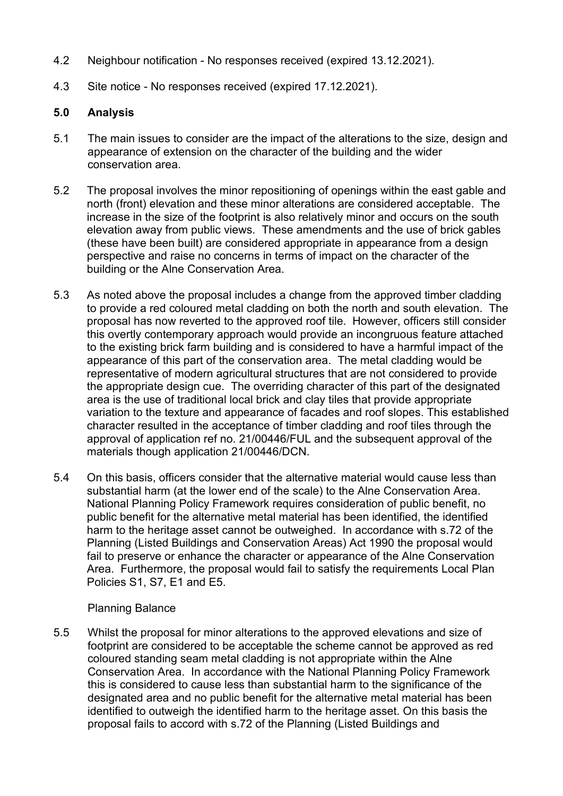- 4.2 Neighbour notification No responses received (expired 13.12.2021).
- 4.3 Site notice No responses received (expired 17.12.2021).

### **5.0 Analysis**

- 5.1 The main issues to consider are the impact of the alterations to the size, design and appearance of extension on the character of the building and the wider conservation area.
- 5.2 The proposal involves the minor repositioning of openings within the east gable and north (front) elevation and these minor alterations are considered acceptable. The increase in the size of the footprint is also relatively minor and occurs on the south elevation away from public views. These amendments and the use of brick gables (these have been built) are considered appropriate in appearance from a design perspective and raise no concerns in terms of impact on the character of the building or the Alne Conservation Area.
- 5.3 As noted above the proposal includes a change from the approved timber cladding to provide a red coloured metal cladding on both the north and south elevation. The proposal has now reverted to the approved roof tile. However, officers still consider this overtly contemporary approach would provide an incongruous feature attached to the existing brick farm building and is considered to have a harmful impact of the appearance of this part of the conservation area. The metal cladding would be representative of modern agricultural structures that are not considered to provide the appropriate design cue. The overriding character of this part of the designated area is the use of traditional local brick and clay tiles that provide appropriate variation to the texture and appearance of facades and roof slopes. This established character resulted in the acceptance of timber cladding and roof tiles through the approval of application ref no. 21/00446/FUL and the subsequent approval of the materials though application 21/00446/DCN.
- 5.4 On this basis, officers consider that the alternative material would cause less than substantial harm (at the lower end of the scale) to the Alne Conservation Area. National Planning Policy Framework requires consideration of public benefit, no public benefit for the alternative metal material has been identified, the identified harm to the heritage asset cannot be outweighed. In accordance with s.72 of the Planning (Listed Buildings and Conservation Areas) Act 1990 the proposal would fail to preserve or enhance the character or appearance of the Alne Conservation Area. Furthermore, the proposal would fail to satisfy the requirements Local Plan Policies S1, S7, E1 and E5.

#### Planning Balance

5.5 Whilst the proposal for minor alterations to the approved elevations and size of footprint are considered to be acceptable the scheme cannot be approved as red coloured standing seam metal cladding is not appropriate within the Alne Conservation Area. In accordance with the National Planning Policy Framework this is considered to cause less than substantial harm to the significance of the designated area and no public benefit for the alternative metal material has been identified to outweigh the identified harm to the heritage asset. On this basis the proposal fails to accord with s.72 of the Planning (Listed Buildings and